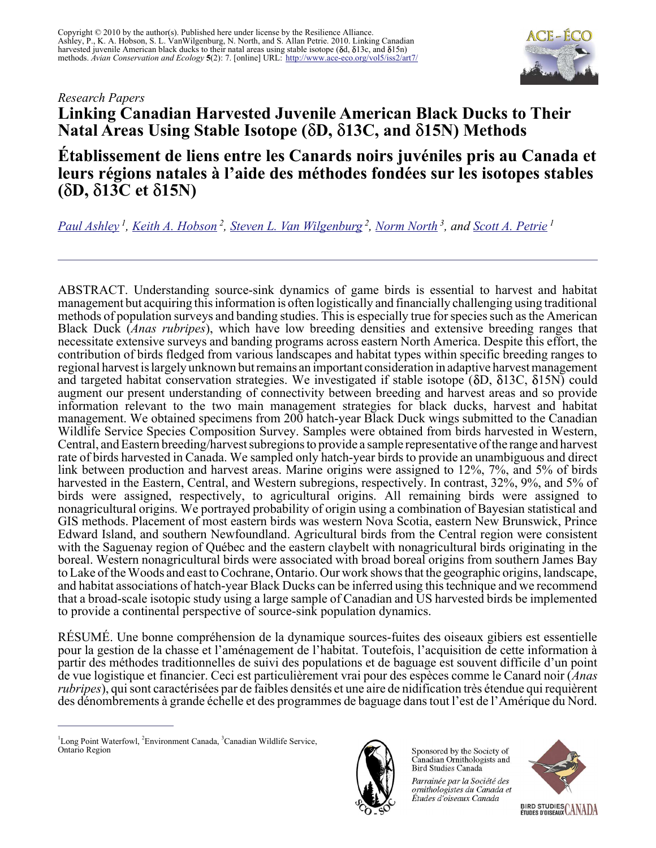

# *Research Papers* **Linking Canadian Harvested Juvenile American Black Ducks to Their Natal Areas Using Stable Isotope (δD, δ13C, and δ15N) Methods**

**Établissement de liens entre les Canards noirs juvéniles pris au Canada et leurs régions natales à l'aide des méthodes fondées sur les isotopes stables**  $(\delta D, \delta 13C \text{ et } \delta 15N)$ 

*Paul Ashley<sup>1</sup> , Keith A. Hobson<sup>2</sup> , Steven L. Van Wilgenburg<sup>2</sup> , Norm North<sup>3</sup>, and Scott A. Petrie<sup>1</sup>*

ABSTRACT. Understanding source-sink dynamics of game birds is essential to harvest and habitat management but acquiring this information is often logistically and financially challenging using traditional methods of population surveys and banding studies. This is especially true for species such as the American Black Duck (*Anas rubripes*), which have low breeding densities and extensive breeding ranges that necessitate extensive surveys and banding programs across eastern North America. Despite this effort, the contribution of birds fledged from various landscapes and habitat types within specific breeding ranges to regional harvest is largely unknown but remains an important consideration in adaptive harvest management and targeted habitat conservation strategies. We investigated if stable isotope  $(\delta D, \delta 13C, \delta 15N)$  could augment our present understanding of connectivity between breeding and harvest areas and so provide information relevant to the two main management strategies for black ducks, harvest and habitat management. We obtained specimens from 200 hatch-year Black Duck wings submitted to the Canadian Wildlife Service Species Composition Survey. Samples were obtained from birds harvested in Western, Central, and Eastern breeding/harvest subregions to provide a sample representative of the range and harvest rate of birds harvested in Canada. We sampled only hatch-year birds to provide an unambiguous and direct link between production and harvest areas. Marine origins were assigned to 12%, 7%, and 5% of birds harvested in the Eastern, Central, and Western subregions, respectively. In contrast, 32%, 9%, and 5% of birds were assigned, respectively, to agricultural origins. All remaining birds were assigned to nonagricultural origins. We portrayed probability of origin using a combination of Bayesian statistical and GIS methods. Placement of most eastern birds was western Nova Scotia, eastern New Brunswick, Prince Edward Island, and southern Newfoundland. Agricultural birds from the Central region were consistent with the Saguenay region of Québec and the eastern claybelt with nonagricultural birds originating in the boreal. Western nonagricultural birds were associated with broad boreal origins from southern James Bay to Lake of the Woods and east to Cochrane, Ontario. Our work shows that the geographic origins, landscape, and habitat associations of hatch-year Black Ducks can be inferred using this technique and we recommend that a broad-scale isotopic study using a large sample of Canadian and US harvested birds be implemented to provide a continental perspective of source-sink population dynamics.

RÉSUMÉ. Une bonne compréhension de la dynamique sources-fuites des oiseaux gibiers est essentielle pour la gestion de la chasse et l'aménagement de l'habitat. Toutefois, l'acquisition de cette information à partir des méthodes traditionnelles de suivi des populations et de baguage est souvent difficile d'un point de vue logistique et financier. Ceci est particulièrement vrai pour des espèces comme le Canard noir (*Anas rubripes*), qui sont caractérisées par de faibles densités et une aire de nidification très étendue qui requièrent des dénombrements à grande échelle et des programmes de baguage dans tout l'est de l'Amérique du Nord.

<sup>&</sup>lt;sup>1</sup>Long Point Waterfowl, <sup>2</sup>Environment Canada, <sup>3</sup>Canadian Wildlife Service, Ontario Region



Sponsored by the Society of Canadian Ornithologists and **Bird Studies Canada** 

Parrainée par la Société des ornithologistes du Canada et Études d'oiseaux Canada

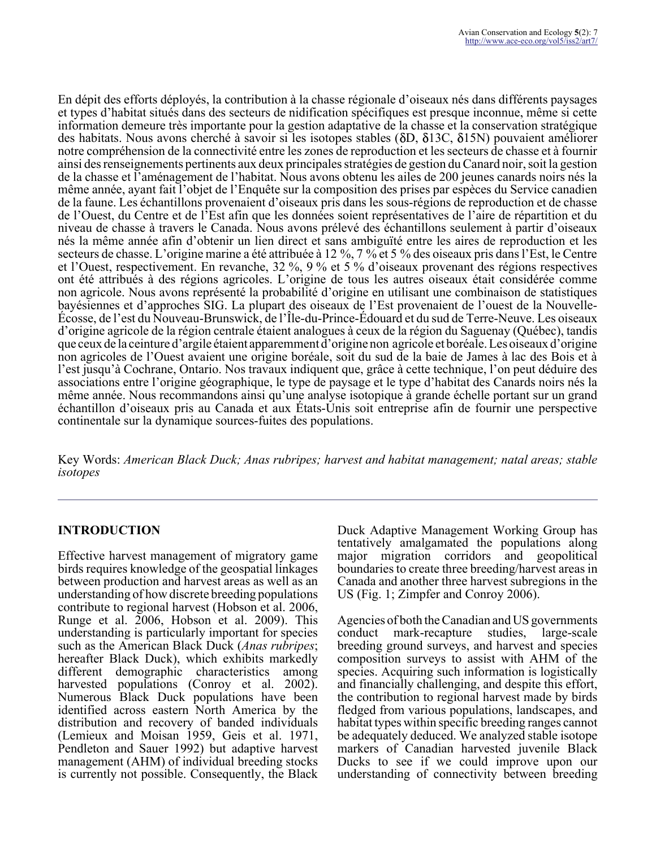En dépit des efforts déployés, la contribution à la chasse régionale d'oiseaux nés dans différents paysages et types d'habitat situés dans des secteurs de nidification spécifiques est presque inconnue, même si cette information demeure très importante pour la gestion adaptative de la chasse et la conservation stratégique des habitats. Nous avons cherché à savoir si les isotopes stables ( $\delta$ D,  $\delta$ 13C,  $\delta$ 15N) pouvaient améliorer notre compréhension de la connectivité entre les zones de reproduction et les secteurs de chasse et à fournir ainsi des renseignements pertinents aux deux principales stratégies de gestion du Canard noir, soit la gestion de la chasse et l'aménagement de l'habitat. Nous avons obtenu les ailes de 200 jeunes canards noirs nés la même année, ayant fait l'objet de l'Enquête sur la composition des prises par espèces du Service canadien de la faune. Les échantillons provenaient d'oiseaux pris dans les sous-régions de reproduction et de chasse de l'Ouest, du Centre et de l'Est afin que les données soient représentatives de l'aire de répartition et du niveau de chasse à travers le Canada. Nous avons prélevé des échantillons seulement à partir d'oiseaux nés la même année afin d'obtenir un lien direct et sans ambiguïté entre les aires de reproduction et les secteurs de chasse. L'origine marine a été attribuée à 12 %, 7 % et 5 % des oiseaux pris dans l'Est, le Centre et l'Ouest, respectivement. En revanche, 32 %, 9 % et 5 % d'oiseaux provenant des régions respectives ont été attribués à des régions agricoles. L'origine de tous les autres oiseaux était considérée comme non agricole. Nous avons représenté la probabilité d'origine en utilisant une combinaison de statistiques bayésiennes et d'approches SIG. La plupart des oiseaux de l'Est provenaient de l'ouest de la Nouvelle-Écosse, de l'est du Nouveau-Brunswick, de l'Île-du-Prince-Édouard et du sud de Terre-Neuve. Les oiseaux d'origine agricole de la région centrale étaient analogues à ceux de la région du Saguenay (Québec), tandis que ceux de la ceinture d'argile étaient apparemment d'origine non agricole et boréale. Les oiseaux d'origine non agricoles de l'Ouest avaient une origine boréale, soit du sud de la baie de James à lac des Bois et à l'est jusqu'à Cochrane, Ontario. Nos travaux indiquent que, grâce à cette technique, l'on peut déduire des associations entre l'origine géographique, le type de paysage et le type d'habitat des Canards noirs nés la même année. Nous recommandons ainsi qu'une analyse isotopique à grande échelle portant sur un grand échantillon d'oiseaux pris au Canada et aux États-Unis soit entreprise afin de fournir une perspective continentale sur la dynamique sources-fuites des populations.

Key Words: *American Black Duck; Anas rubripes; harvest and habitat management; natal areas; stable isotopes*

## **INTRODUCTION**

Effective harvest management of migratory game birds requires knowledge of the geospatial linkages between production and harvest areas as well as an understanding of how discrete breeding populations contribute to regional harvest (Hobson et al. 2006, Runge et al. 2006, Hobson et al. 2009). This understanding is particularly important for species such as the American Black Duck (*Anas rubripes*; hereafter Black Duck), which exhibits markedly different demographic characteristics among harvested populations (Conroy et al. 2002). Numerous Black Duck populations have been identified across eastern North America by the distribution and recovery of banded individuals (Lemieux and Moisan 1959, Geis et al. 1971, Pendleton and Sauer 1992) but adaptive harvest management (AHM) of individual breeding stocks is currently not possible. Consequently, the Black

Duck Adaptive Management Working Group has tentatively amalgamated the populations along major migration corridors and geopolitical boundaries to create three breeding/harvest areas in Canada and another three harvest subregions in the US (Fig. 1; Zimpfer and Conroy 2006).

Agencies of both the Canadian and US governments conduct mark-recapture studies, large-scale breeding ground surveys, and harvest and species composition surveys to assist with AHM of the species. Acquiring such information is logistically and financially challenging, and despite this effort, the contribution to regional harvest made by birds fledged from various populations, landscapes, and habitat types within specific breeding ranges cannot be adequately deduced. We analyzed stable isotope markers of Canadian harvested juvenile Black Ducks to see if we could improve upon our understanding of connectivity between breeding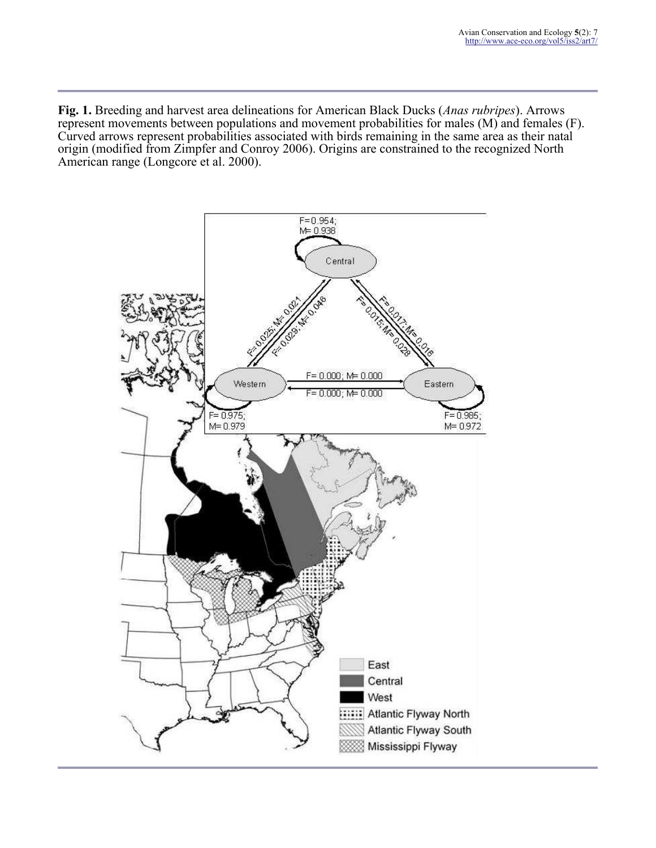**Fig. 1.** Breeding and harvest area delineations for American Black Ducks (*Anas rubripes*). Arrows represent movements between populations and movement probabilities for males (M) and females (F). Curved arrows represent probabilities associated with birds remaining in the same area as their natal origin (modified from Zimpfer and Conroy 2006). Origins are constrained to the recognized North American range (Longcore et al. 2000).

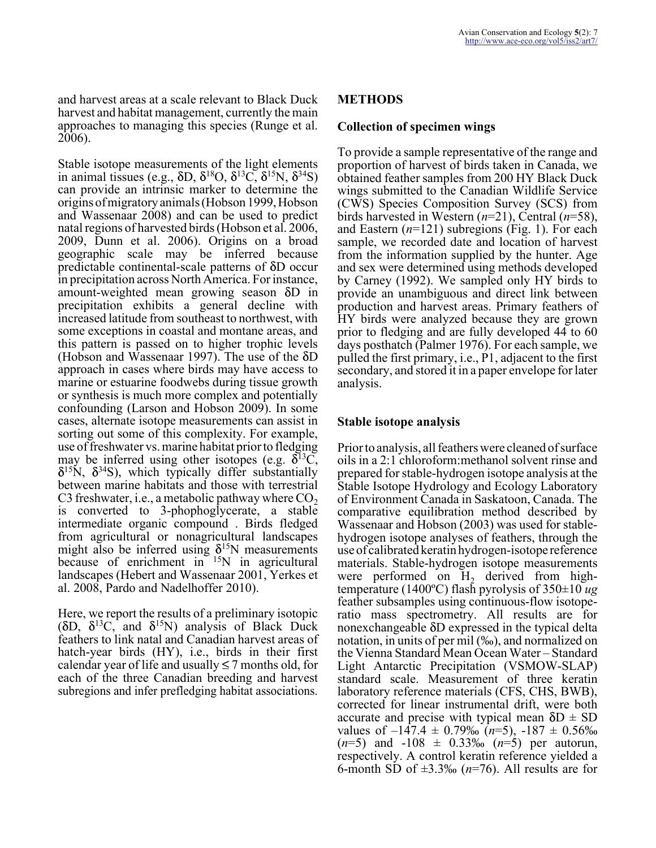and harvest areas at a scale relevant to Black Duck harvest and habitat management, currently the main approaches to managing this species (Runge et al. 2006).

Stable isotope measurements of the light elements in animal tissues (e.g.,  $\delta D$ ,  $\delta^{18}O$ ,  $\delta^{13}C$ ,  $\delta^{15}N$ ,  $\delta^{34}S$ ) can provide an intrinsic marker to determine the origins of migratory animals (Hobson 1999, Hobson and Wassenaar 2008) and can be used to predict natal regions of harvested birds (Hobson et al. 2006, 2009, Dunn et al. 2006). Origins on a broad geographic scale may be inferred because predictable continental-scale patterns of  $\delta D$  occur in precipitation across North America. For instance, amount-weighted mean growing season  $\delta D$  in precipitation exhibits a general decline with increased latitude from southeast to northwest, with some exceptions in coastal and montane areas, and this pattern is passed on to higher trophic levels (Hobson and Wassenaar 1997). The use of the  $\delta D$ approach in cases where birds may have access to marine or estuarine foodwebs during tissue growth or synthesis is much more complex and potentially confounding (Larson and Hobson 2009). In some cases, alternate isotope measurements can assist in sorting out some of this complexity. For example, use of freshwater vs. marine habitat prior to fledging may be inferred using other isotopes (e.g.  $\delta^{13}\overline{C}$ ,  $\delta^{15}$ N,  $\delta^{34}$ S), which typically differ substantially between marine habitats and those with terrestrial C3 freshwater, i.e., a metabolic pathway where  $CO<sub>2</sub>$ is converted to 3-phophoglycerate, a stable intermediate organic compound . Birds fledged from agricultural or nonagricultural landscapes might also be inferred using  $\delta^{15}N$  measurements because of enrichment in  $15N$  in agricultural landscapes (Hebert and Wassenaar 2001, Yerkes et al. 2008, Pardo and Nadelhoffer 2010).

Here, we report the results of a preliminary isotopic  $(\delta D, \delta^{13}C, \text{ and } \delta^{15}N)$  analysis of Black Duck feathers to link natal and Canadian harvest areas of hatch-year birds (HY), i.e., birds in their first calendar year of life and usually  $\leq$  7 months old, for each of the three Canadian breeding and harvest subregions and infer prefledging habitat associations.

## **METHODS**

#### **Collection of specimen wings**

To provide a sample representative of the range and proportion of harvest of birds taken in Canada, we obtained feather samples from 200 HY Black Duck wings submitted to the Canadian Wildlife Service (CWS) Species Composition Survey (SCS) from birds harvested in Western (*n*=21), Central (*n*=58), and Eastern (*n*=121) subregions (Fig. 1). For each sample, we recorded date and location of harvest from the information supplied by the hunter. Age and sex were determined using methods developed by Carney (1992). We sampled only HY birds to provide an unambiguous and direct link between production and harvest areas. Primary feathers of HY birds were analyzed because they are grown prior to fledging and are fully developed 44 to 60 days posthatch (Palmer 1976). For each sample, we pulled the first primary, i.e., P1, adjacent to the first secondary, and stored it in a paper envelope for later analysis.

#### **Stable isotope analysis**

Prior to analysis, all feathers were cleaned of surface oils in a 2:1 chloroform:methanol solvent rinse and prepared for stable-hydrogen isotope analysis at the Stable Isotope Hydrology and Ecology Laboratory of Environment Canada in Saskatoon, Canada. The comparative equilibration method described by Wassenaar and Hobson (2003) was used for stablehydrogen isotope analyses of feathers, through the use of calibrated keratin hydrogen-isotope reference materials. Stable-hydrogen isotope measurements were performed on  $H_2$  derived from hightemperature (1400ºC) flash pyrolysis of 350±10 *ug* feather subsamples using continuous-flow isotoperatio mass spectrometry. All results are for nonexchangeable δD expressed in the typical delta notation, in units of per mil (‰), and normalized on the Vienna Standard Mean Ocean Water – Standard Light Antarctic Precipitation (VSMOW-SLAP) standard scale. Measurement of three keratin laboratory reference materials (CFS, CHS, BWB), corrected for linear instrumental drift, were both accurate and precise with typical mean  $\delta D \pm SD$ values of  $-147.4 \pm 0.79\%$  ( $n=5$ ),  $-187 \pm 0.56\%$ (*n*=5) and -108 ± 0.33‰ (*n*=5) per autorun, respectively. A control keratin reference yielded a 6-month SD of  $\pm 3.3\%$  ( $n=76$ ). All results are for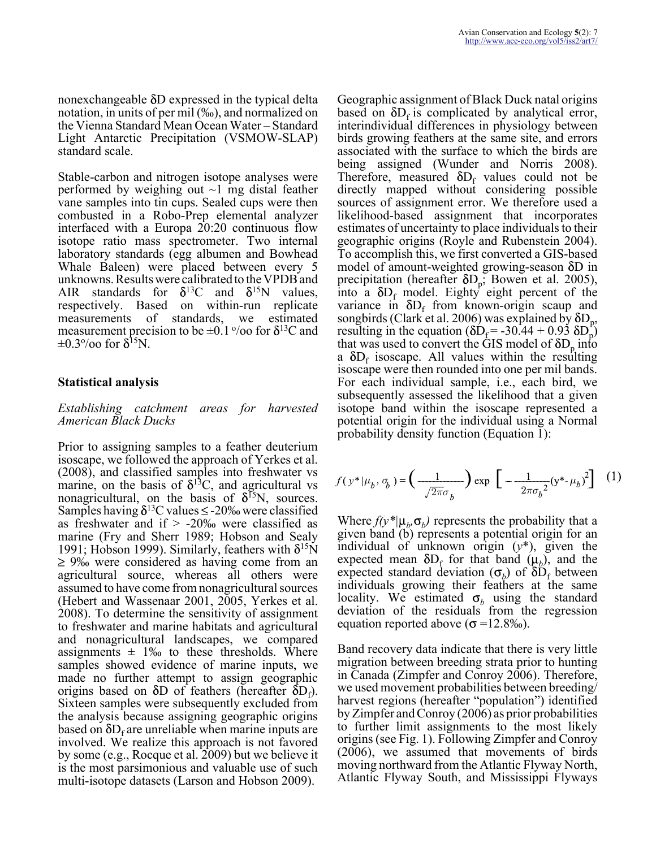nonexchangeable  $\delta D$  expressed in the typical delta notation, in units of per mil (‰), and normalized on the Vienna Standard Mean Ocean Water – Standard Light Antarctic Precipitation (VSMOW-SLAP) standard scale.

Stable-carbon and nitrogen isotope analyses were performed by weighing out  $\sim$ 1 mg distal feather vane samples into tin cups. Sealed cups were then combusted in a Robo-Prep elemental analyzer interfaced with a Europa 20:20 continuous flow isotope ratio mass spectrometer. Two internal laboratory standards (egg albumen and Bowhead Whale Baleen) were placed between every 5 unknowns. Results were calibrated to the VPDB and AIR standards for  $\delta^{13}C$  and  $\delta^{15}N$  values, respectively. Based on within-run replicate measurements of standards, we estimated measurement precision to be  $\pm 0.1$  °/oo for  $\delta^{13}C$  and  $\pm 0.3^{\circ}/\infty$  for  $\delta^{15}N$ .

## **Statistical analysis**

*Establishing catchment areas for harvested American Black Ducks*

Prior to assigning samples to a feather deuterium isoscape, we followed the approach of Yerkes et al. (2008), and classified samples into freshwater vs marine, on the basis of  $\delta^{13}C$ , and agricultural vs nonagricultural, on the basis of  $\delta^{15}N$ , sources. Samples having  $\delta^{13}$ C values  $\leq$  -20‰ were classified as freshwater and if  $> -20\%$  were classified as marine (Fry and Sherr 1989; Hobson and Sealy 1991; Hobson 1999). Similarly, feathers with  $\delta^{15}N$  $\geq 9\%$  were considered as having come from an agricultural source, whereas all others were assumed to have come from nonagricultural sources (Hebert and Wassenaar 2001, 2005, Yerkes et al. 2008). To determine the sensitivity of assignment to freshwater and marine habitats and agricultural and nonagricultural landscapes, we compared assignments  $\pm$  1% to these thresholds. Where samples showed evidence of marine inputs, we made no further attempt to assign geographic origins based on  $\delta D$  of feathers (hereafter  $\delta D_f$ ). Sixteen samples were subsequently excluded from the analysis because assigning geographic origins based on  $\delta D_f$  are unreliable when marine inputs are involved. We realize this approach is not favored by some (e.g., Rocque et al. 2009) but we believe it is the most parsimonious and valuable use of such multi-isotope datasets (Larson and Hobson 2009).

Geographic assignment of Black Duck natal origins based on  $\delta D_f$  is complicated by analytical error, interindividual differences in physiology between birds growing feathers at the same site, and errors associated with the surface to which the birds are being assigned (Wunder and Norris 2008). Therefore, measured  $\delta D_f$  values could not be directly mapped without considering possible sources of assignment error. We therefore used a likelihood-based assignment that incorporates estimates of uncertainty to place individuals to their geographic origins (Royle and Rubenstein 2004). To accomplish this, we first converted a GIS-based model of amount-weighted growing-season  $\delta$ D in precipitation (hereafter  $\delta D_p$ ; Bowen et al. 2005), into a  $\delta D_f$  model. Eighty eight percent of the variance in  $\delta D_f$  from known-origin scaup and songbirds (Clark et al. 2006) was explained by  $\delta D_p$ , resulting in the equation  $(\delta D_f = -30.44 + 0.93 \delta D_p)$ that was used to convert the GIS model of  $\delta D_p$  into a  $\delta D_f$  isoscape. All values within the resulting isoscape were then rounded into one per mil bands. For each individual sample, i.e., each bird, we subsequently assessed the likelihood that a given isotope band within the isoscape represented a potential origin for the individual using a Normal probability density function (Equation 1):

$$
f(y^* | \mu_b, \sigma_b) = \left(\frac{1}{\sqrt{2\pi}\sigma_b}\right) \exp\left[-\frac{1}{2\pi\sigma_b^2} (y^* - \mu_b)^2\right] (1)
$$

Where  $f(y^* | \mu_{b} \sigma_{b})$  represents the probability that a given band (b) represents a potential origin for an individual of unknown origin (*y*\*), given the expected mean  $\delta D_f$  for that band  $(\mu_b)$ , and the expected standard deviation  $(\sigma_b)$  of  $\delta \bar{D}_f$  between individuals growing their feathers at the same locality. We estimated  $\sigma_b$  using the standard deviation of the residuals from the regression equation reported above ( $\sigma$  =12.8‰).

Band recovery data indicate that there is very little migration between breeding strata prior to hunting in Canada (Zimpfer and Conroy 2006). Therefore, we used movement probabilities between breeding/ harvest regions (hereafter "population") identified by Zimpfer and Conroy (2006) as prior probabilities to further limit assignments to the most likely origins (see Fig. 1). Following Zimpfer and Conroy (2006), we assumed that movements of birds moving northward from the Atlantic Flyway North, Atlantic Flyway South, and Mississippi Flyways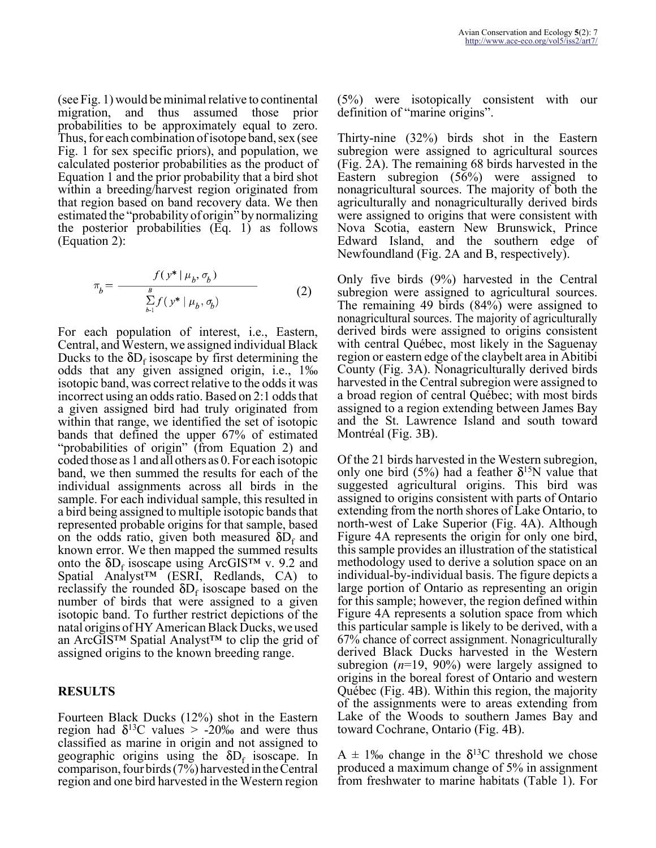(see Fig. 1) would be minimal relative to continental migration, and thus assumed those prior probabilities to be approximately equal to zero. Thus, for each combination of isotope band, sex (see Fig. 1 for sex specific priors), and population, we calculated posterior probabilities as the product of Equation 1 and the prior probability that a bird shot within a breeding/harvest region originated from that region based on band recovery data. We then estimated the "probability of origin" by normalizing the posterior probabilities (Eq. 1) as follows (Equation 2):

$$
\pi_b = \frac{f(y^* | \mu_b, \sigma_b)}{\sum\limits_{b=1}^B f(y^* | \mu_b, \sigma_b)}
$$
(2)

For each population of interest, i.e., Eastern, Central, and Western, we assigned individual Black Ducks to the  $\delta D_f$  isoscape by first determining the odds that any given assigned origin, i.e., 1‰ isotopic band, was correct relative to the odds it was incorrect using an odds ratio. Based on 2:1 odds that a given assigned bird had truly originated from within that range, we identified the set of isotopic bands that defined the upper 67% of estimated "probabilities of origin" (from Equation 2) and coded those as 1 and all others as 0. For each isotopic band, we then summed the results for each of the individual assignments across all birds in the sample. For each individual sample, this resulted in a bird being assigned to multiple isotopic bands that represented probable origins for that sample, based on the odds ratio, given both measured  $\delta D_f$  and known error. We then mapped the summed results onto the  $\delta D_f$  isoscape using ArcGIS<sup>TM</sup> v. 9.2 and Spatial Analyst<sup>™</sup> (ESRI, Redlands, CA) to reclassify the rounded  $\delta D_f$  isoscape based on the number of birds that were assigned to a given isotopic band. To further restrict depictions of the natal origins of HY American Black Ducks, we used an ArcGIS™ Spatial Analyst™ to clip the grid of assigned origins to the known breeding range.

## **RESULTS**

Fourteen Black Ducks (12%) shot in the Eastern region had  $\delta^{13}$ C values > -20‰ and were thus classified as marine in origin and not assigned to geographic origins using the  $\delta D_f$  isoscape. In comparison, four birds (7%) harvested in the Central region and one bird harvested in the Western region (5%) were isotopically consistent with our definition of "marine origins".

Thirty-nine (32%) birds shot in the Eastern subregion were assigned to agricultural sources (Fig. 2A). The remaining 68 birds harvested in the Eastern subregion (56%) were assigned to nonagricultural sources. The majority of both the agriculturally and nonagriculturally derived birds were assigned to origins that were consistent with Nova Scotia, eastern New Brunswick, Prince Edward Island, and the southern edge of Newfoundland (Fig. 2A and B, respectively).

Only five birds (9%) harvested in the Central subregion were assigned to agricultural sources. The remaining 49 birds (84%) were assigned to nonagricultural sources. The majority of agriculturally derived birds were assigned to origins consistent with central Québec, most likely in the Saguenay region or eastern edge of the claybelt area in Abitibi County (Fig. 3A). Nonagriculturally derived birds harvested in the Central subregion were assigned to a broad region of central Québec; with most birds assigned to a region extending between James Bay and the St. Lawrence Island and south toward Montréal (Fig. 3B).

Of the 21 birds harvested in the Western subregion, only one bird (5%) had a feather  $\delta^{15}N$  value that suggested agricultural origins. This bird was assigned to origins consistent with parts of Ontario extending from the north shores of Lake Ontario, to north-west of Lake Superior (Fig. 4A). Although Figure 4A represents the origin for only one bird, this sample provides an illustration of the statistical methodology used to derive a solution space on an individual-by-individual basis. The figure depicts a large portion of Ontario as representing an origin for this sample; however, the region defined within Figure 4A represents a solution space from which this particular sample is likely to be derived, with a 67% chance of correct assignment. Nonagriculturally derived Black Ducks harvested in the Western subregion (*n*=19, 90%) were largely assigned to origins in the boreal forest of Ontario and western Québec (Fig. 4B). Within this region, the majority of the assignments were to areas extending from Lake of the Woods to southern James Bay and toward Cochrane, Ontario (Fig. 4B).

A  $\pm$  1‰ change in the  $\delta^{13}$ C threshold we chose produced a maximum change of 5% in assignment from freshwater to marine habitats (Table 1). For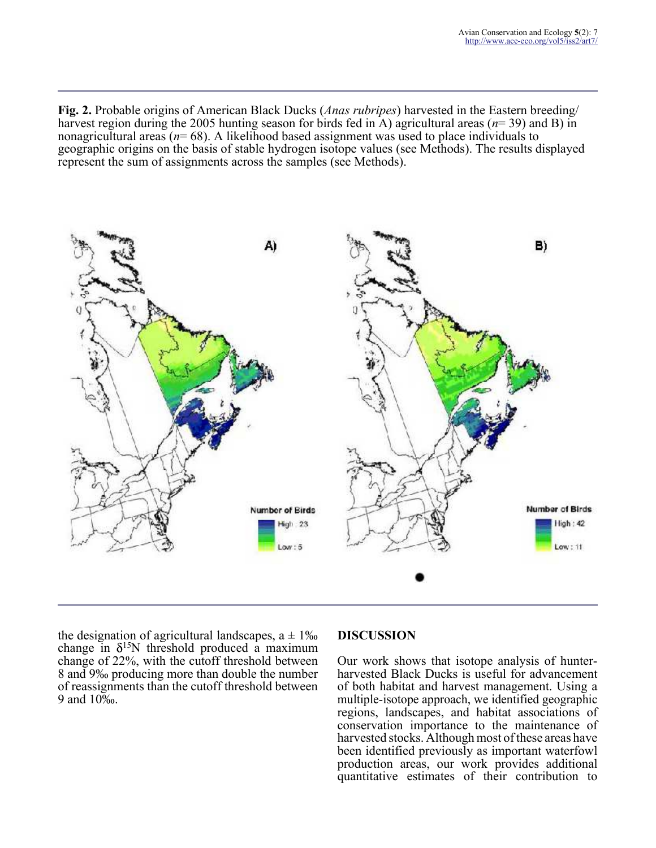**Fig. 2.** Probable origins of American Black Ducks (*Anas rubripes*) harvested in the Eastern breeding/ harvest region during the 2005 hunting season for birds fed in A) agricultural areas (*n*= 39) and B) in nonagricultural areas (*n*= 68). A likelihood based assignment was used to place individuals to geographic origins on the basis of stable hydrogen isotope values (see Methods). The results displayed represent the sum of assignments across the samples (see Methods).



the designation of agricultural landscapes,  $a \pm 1\%$ change in  $\delta^{15}N$  threshold produced a maximum change of 22%, with the cutoff threshold between 8 and 9‰ producing more than double the number of reassignments than the cutoff threshold between 9 and 10‰.

## **DISCUSSION**

Our work shows that isotope analysis of hunterharvested Black Ducks is useful for advancement of both habitat and harvest management. Using a multiple-isotope approach, we identified geographic regions, landscapes, and habitat associations of conservation importance to the maintenance of harvested stocks. Although most of these areas have been identified previously as important waterfowl production areas, our work provides additional quantitative estimates of their contribution to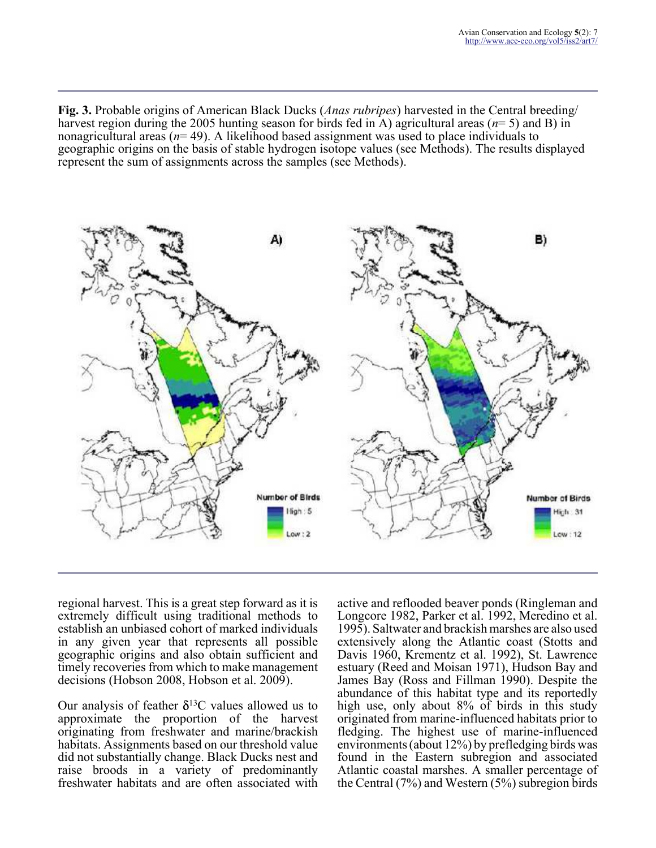**Fig. 3.** Probable origins of American Black Ducks (*Anas rubripes*) harvested in the Central breeding/ harvest region during the 2005 hunting season for birds fed in A) agricultural areas (*n*= 5) and B) in nonagricultural areas (*n*= 49). A likelihood based assignment was used to place individuals to geographic origins on the basis of stable hydrogen isotope values (see Methods). The results displayed represent the sum of assignments across the samples (see Methods).



regional harvest. This is a great step forward as it is extremely difficult using traditional methods to establish an unbiased cohort of marked individuals in any given year that represents all possible geographic origins and also obtain sufficient and timely recoveries from which to make management decisions (Hobson 2008, Hobson et al. 2009).

Our analysis of feather  $\delta^{13}$ C values allowed us to approximate the proportion of the harvest originating from freshwater and marine/brackish habitats. Assignments based on our threshold value did not substantially change. Black Ducks nest and raise broods in a variety of predominantly freshwater habitats and are often associated with

active and reflooded beaver ponds (Ringleman and Longcore 1982, Parker et al. 1992, Meredino et al. 1995). Saltwater and brackish marshes are also used extensively along the Atlantic coast (Stotts and Davis 1960, Krementz et al. 1992), St. Lawrence estuary (Reed and Moisan 1971), Hudson Bay and James Bay (Ross and Fillman 1990). Despite the abundance of this habitat type and its reportedly high use, only about 8% of birds in this study originated from marine-influenced habitats prior to fledging. The highest use of marine-influenced environments (about 12%) by prefledging birds was found in the Eastern subregion and associated Atlantic coastal marshes. A smaller percentage of the Central (7%) and Western (5%) subregion birds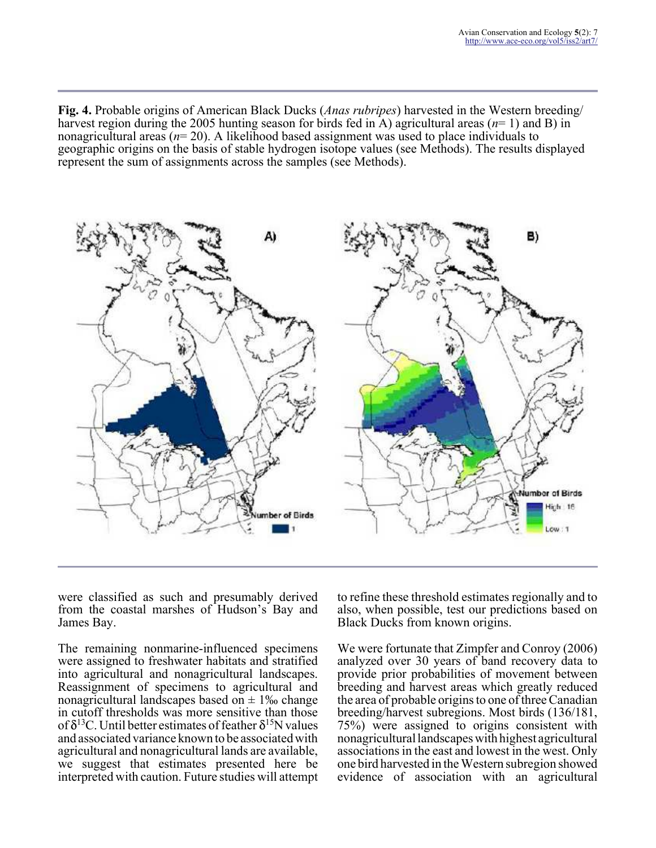**Fig. 4.** Probable origins of American Black Ducks (*Anas rubripes*) harvested in the Western breeding/ harvest region during the 2005 hunting season for birds fed in A) agricultural areas (*n*= 1) and B) in nonagricultural areas (*n*= 20). A likelihood based assignment was used to place individuals to geographic origins on the basis of stable hydrogen isotope values (see Methods). The results displayed represent the sum of assignments across the samples (see Methods).



were classified as such and presumably derived from the coastal marshes of Hudson's Bay and James Bay.

The remaining nonmarine-influenced specimens were assigned to freshwater habitats and stratified into agricultural and nonagricultural landscapes. Reassignment of specimens to agricultural and nonagricultural landscapes based on  $\pm$  1‰ change in cutoff thresholds was more sensitive than those of  $\delta^{13}$ C. Until better estimates of feather  $\delta^{15}N$  values and associated variance known to be associated with agricultural and nonagricultural lands are available, we suggest that estimates presented here be interpreted with caution. Future studies will attempt to refine these threshold estimates regionally and to also, when possible, test our predictions based on Black Ducks from known origins.

We were fortunate that Zimpfer and Conroy (2006) analyzed over 30 years of band recovery data to provide prior probabilities of movement between breeding and harvest areas which greatly reduced the area of probable origins to one of three Canadian breeding/harvest subregions. Most birds (136/181, 75%) were assigned to origins consistent with nonagricultural landscapes with highest agricultural associations in the east and lowest in the west. Only one bird harvested in the Western subregion showed evidence of association with an agricultural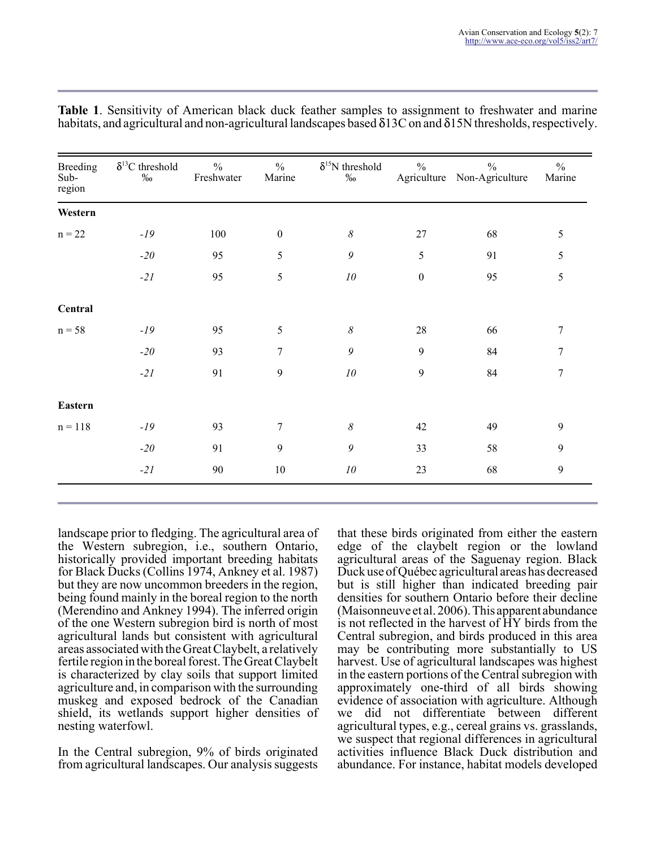| Breeding<br>Sub-<br>region | $\delta^{13}C$ threshold<br>$\% 0$ | $\frac{0}{0}$<br>Freshwater | $\frac{0}{0}$<br>Marine | $\delta^{15}N$ threshold<br>$\%o$ | $\frac{0}{0}$    | $\frac{0}{0}$<br>Agriculture Non-Agriculture | $\frac{0}{0}$<br>Marine |
|----------------------------|------------------------------------|-----------------------------|-------------------------|-----------------------------------|------------------|----------------------------------------------|-------------------------|
| Western                    |                                    |                             |                         |                                   |                  |                                              |                         |
| $n = 22$                   | $-19$                              | 100                         | $\boldsymbol{0}$        | $\boldsymbol{\delta}$             | $27\,$           | 68                                           | 5                       |
|                            | $-20$                              | 95                          | 5                       | 9                                 | 5                | 91                                           | 5                       |
|                            | $-21$                              | 95                          | 5                       | $10\,$                            | $\boldsymbol{0}$ | 95                                           | 5                       |
| Central                    |                                    |                             |                         |                                   |                  |                                              |                         |
| $n = 58$                   | $-19$                              | 95                          | 5                       | $\boldsymbol{\delta}$             | $28\,$           | 66                                           | 7                       |
|                            | $-20$                              | 93                          | $\tau$                  | 9                                 | 9                | 84                                           | $\boldsymbol{7}$        |
|                            | $-21$                              | 91                          | $\boldsymbol{9}$        | ${\it 10}$                        | $\boldsymbol{9}$ | 84                                           | $\boldsymbol{7}$        |
| <b>Eastern</b>             |                                    |                             |                         |                                   |                  |                                              |                         |
| $n = 118$                  | $-19$                              | 93                          | $\overline{7}$          | 8                                 | 42               | 49                                           | 9                       |
|                            | $-20\,$                            | 91                          | $\boldsymbol{9}$        | 9                                 | 33               | 58                                           | $\boldsymbol{9}$        |
|                            | $-21$                              | 90                          | 10                      | 10                                | 23               | 68                                           | $\mathbf{9}$            |

**Table 1**. Sensitivity of American black duck feather samples to assignment to freshwater and marine habitats, and agricultural and non-agricultural landscapes based  $\delta$ 13C on and  $\delta$ 15N thresholds, respectively.

landscape prior to fledging. The agricultural area of the Western subregion, i.e., southern Ontario, historically provided important breeding habitats for Black Ducks (Collins 1974, Ankney et al. 1987) but they are now uncommon breeders in the region, being found mainly in the boreal region to the north (Merendino and Ankney 1994). The inferred origin of the one Western subregion bird is north of most agricultural lands but consistent with agricultural areas associated with the Great Claybelt, a relatively fertile region in the boreal forest. The Great Claybelt is characterized by clay soils that support limited agriculture and, in comparison with the surrounding muskeg and exposed bedrock of the Canadian shield, its wetlands support higher densities of nesting waterfowl.

In the Central subregion, 9% of birds originated from agricultural landscapes. Our analysis suggests that these birds originated from either the eastern edge of the claybelt region or the lowland agricultural areas of the Saguenay region. Black Duck use of Québec agricultural areas has decreased but is still higher than indicated breeding pair densities for southern Ontario before their decline (Maisonneuve et al. 2006). This apparent abundance is not reflected in the harvest of HY birds from the Central subregion, and birds produced in this area may be contributing more substantially to US harvest. Use of agricultural landscapes was highest in the eastern portions of the Central subregion with approximately one-third of all birds showing evidence of association with agriculture. Although we did not differentiate between different agricultural types, e.g., cereal grains vs. grasslands, we suspect that regional differences in agricultural activities influence Black Duck distribution and abundance. For instance, habitat models developed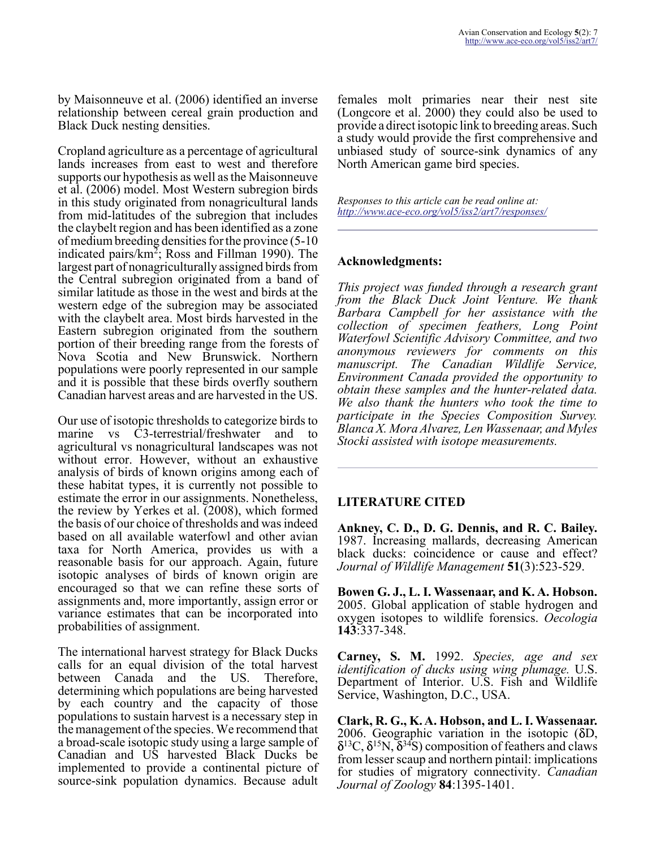by Maisonneuve et al. (2006) identified an inverse relationship between cereal grain production and Black Duck nesting densities.

Cropland agriculture as a percentage of agricultural lands increases from east to west and therefore supports our hypothesis as well as the Maisonneuve et al. (2006) model. Most Western subregion birds in this study originated from nonagricultural lands from mid-latitudes of the subregion that includes the claybelt region and has been identified as a zone of medium breeding densities for the province (5-10 indicated pairs/km<sup>2</sup>; Ross and Fillman 1990). The largest part of nonagriculturally assigned birds from the Central subregion originated from a band of similar latitude as those in the west and birds at the western edge of the subregion may be associated with the claybelt area. Most birds harvested in the Eastern subregion originated from the southern portion of their breeding range from the forests of Nova Scotia and New Brunswick. Northern populations were poorly represented in our sample and it is possible that these birds overfly southern Canadian harvest areas and are harvested in the US.

Our use of isotopic thresholds to categorize birds to marine vs C3-terrestrial/freshwater and to agricultural vs nonagricultural landscapes was not without error. However, without an exhaustive analysis of birds of known origins among each of these habitat types, it is currently not possible to estimate the error in our assignments. Nonetheless, the review by Yerkes et al. (2008), which formed the basis of our choice of thresholds and was indeed based on all available waterfowl and other avian taxa for North America, provides us with a reasonable basis for our approach. Again, future isotopic analyses of birds of known origin are encouraged so that we can refine these sorts of assignments and, more importantly, assign error or variance estimates that can be incorporated into probabilities of assignment.

The international harvest strategy for Black Ducks calls for an equal division of the total harvest between Canada and the US. Therefore, determining which populations are being harvested by each country and the capacity of those populations to sustain harvest is a necessary step in the management of the species. We recommend that a broad-scale isotopic study using a large sample of Canadian and US harvested Black Ducks be implemented to provide a continental picture of source-sink population dynamics. Because adult

females molt primaries near their nest site (Longcore et al. 2000) they could also be used to provide a direct isotopic link to breeding areas. Such a study would provide the first comprehensive and unbiased study of source-sink dynamics of any North American game bird species.

*Responses to this article can be read online at: http://www.ace-eco.org/vol5/iss2/art7/responses/*

#### **Acknowledgments:**

*This project was funded through a research grant from the Black Duck Joint Venture. We thank Barbara Campbell for her assistance with the collection of specimen feathers, Long Point Waterfowl Scientific Advisory Committee, and two anonymous reviewers for comments on this manuscript. The Canadian Wildlife Service, Environment Canada provided the opportunity to obtain these samples and the hunter-related data. We also thank the hunters who took the time to participate in the Species Composition Survey. Blanca X. Mora Alvarez, Len Wassenaar, and Myles Stocki assisted with isotope measurements.*

## **LITERATURE CITED**

**Ankney, C. D., D. G. Dennis, and R. C. Bailey.** 1987. Increasing mallards, decreasing American black ducks: coincidence or cause and effect? *Journal of Wildlife Management* **51**(3):523-529.

**Bowen G. J., L. I. Wassenaar, and K. A. Hobson.** 2005. Global application of stable hydrogen and oxygen isotopes to wildlife forensics. *Oecologia* **143**:337-348.

**Carney, S. M.** 1992. *Species, age and sex identification of ducks using wing plumage.* U.S. Department of Interior. U.S. Fish and Wildlife Service, Washington, D.C., USA.

**Clark, R. G., K. A. Hobson, and L. I. Wassenaar.** 2006. Geographic variation in the isotopic  $(\delta D,$  $\delta^{13}C$ ,  $\delta^{15}N$ ,  $\delta^{34}S$ ) composition of feathers and claws from lesser scaup and northern pintail: implications for studies of migratory connectivity. *Canadian Journal of Zoology* **84**:1395-1401.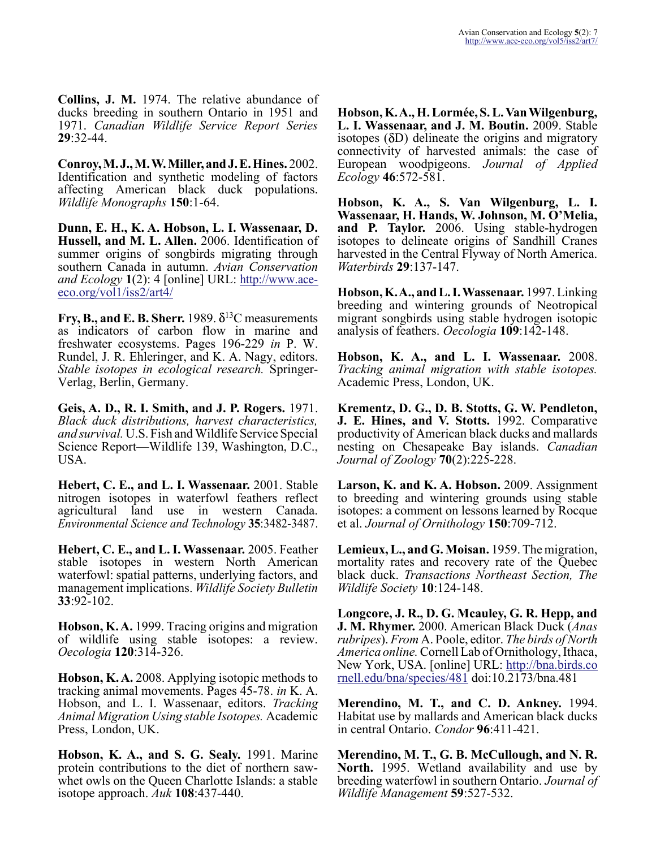**Collins, J. M.** 1974. The relative abundance of ducks breeding in southern Ontario in 1951 and 1971. *Canadian Wildlife Service Report Series* **29**:32-44.

**Conroy, M. J., M. W. Miller, and J. E. Hines.** 2002. Identification and synthetic modeling of factors affecting American black duck populations. *Wildlife Monographs* **150**:1-64.

**Dunn, E. H., K. A. Hobson, L. I. Wassenaar, D. Hussell, and M. L. Allen.** 2006. Identification of summer origins of songbirds migrating through southern Canada in autumn. *Avian Conservation and Ecology* **1**(2): 4 [online] URL: http://www.aceeco.org/vol1/iss2/art4/

**Fry, B., and E. B. Sherr.** 1989.  $\delta^{13}$ C measurements as indicators of carbon flow in marine and freshwater ecosystems. Pages 196-229 *in* P. W. Rundel, J. R. Ehleringer, and K. A. Nagy, editors. *Stable isotopes in ecological research.* Springer-Verlag, Berlin, Germany.

**Geis, A. D., R. I. Smith, and J. P. Rogers.** 1971. *Black duck distributions, harvest characteristics, and survival.* U.S. Fish and Wildlife Service Special Science Report—Wildlife 139, Washington, D.C., USA.

**Hebert, C. E., and L. I. Wassenaar.** 2001. Stable nitrogen isotopes in waterfowl feathers reflect agricultural land use in western Canada. *Environmental Science and Technology* **35**:3482-3487.

**Hebert, C. E., and L. I. Wassenaar.** 2005. Feather stable isotopes in western North American waterfowl: spatial patterns, underlying factors, and management implications. *Wildlife Society Bulletin* **33**:92-102.

**Hobson, K. A.** 1999. Tracing origins and migration of wildlife using stable isotopes: a review. *Oecologia* **120**:314-326.

**Hobson, K. A.** 2008. Applying isotopic methods to tracking animal movements. Pages 45-78. *in* K. A. Hobson, and L. I. Wassenaar, editors. *Tracking Animal Migration Using stable Isotopes.* Academic Press, London, UK.

**Hobson, K. A., and S. G. Sealy.** 1991. Marine protein contributions to the diet of northern sawwhet owls on the Queen Charlotte Islands: a stable isotope approach. *Auk* **108**:437-440.

**Hobson, K. A., H. Lormée, S. L. Van Wilgenburg, L. I. Wassenaar, and J. M. Boutin.** 2009. Stable isotopes  $(\delta D)$  delineate the origins and migratory connectivity of harvested animals: the case of European woodpigeons. *Journal of Applied Ecology* **46**:572-581.

**Hobson, K. A., S. Van Wilgenburg, L. I. Wassenaar, H. Hands, W. Johnson, M. O'Melia, and P. Taylor.** 2006. Using stable-hydrogen isotopes to delineate origins of Sandhill Cranes harvested in the Central Flyway of North America. *Waterbirds* **29**:137-147.

**Hobson, K. A., and L. I. Wassenaar.** 1997. Linking breeding and wintering grounds of Neotropical migrant songbirds using stable hydrogen isotopic analysis of feathers. *Oecologia* **109**:142-148.

**Hobson, K. A., and L. I. Wassenaar.** 2008. *Tracking animal migration with stable isotopes.* Academic Press, London, UK.

**Krementz, D. G., D. B. Stotts, G. W. Pendleton, J. E. Hines, and V. Stotts.** 1992. Comparative productivity of American black ducks and mallards nesting on Chesapeake Bay islands. *Canadian Journal of Zoology* **70**(2):225-228.

**Larson, K. and K. A. Hobson.** 2009. Assignment to breeding and wintering grounds using stable isotopes: a comment on lessons learned by Rocque et al. *Journal of Ornithology* **150**:709-712.

**Lemieux, L., and G. Moisan.** 1959. The migration, mortality rates and recovery rate of the Quebec black duck. *Transactions Northeast Section, The Wildlife Society* **10**:124-148.

**Longcore, J. R., D. G. Mcauley, G. R. Hepp, and J. M. Rhymer.** 2000. American Black Duck (*Anas rubripes*). *From* A. Poole, editor. *The birds of North America online.* Cornell Lab of Ornithology, Ithaca, New York, USA. [online] URL: http://bna.birds.co rnell.edu/bna/species/481 doi:10.2173/bna.481

**Merendino, M. T., and C. D. Ankney.** 1994. Habitat use by mallards and American black ducks in central Ontario. *Condor* **96**:411-421.

**Merendino, M. T., G. B. McCullough, and N. R. North.** 1995. Wetland availability and use by breeding waterfowl in southern Ontario. *Journal of Wildlife Management* **59**:527-532.